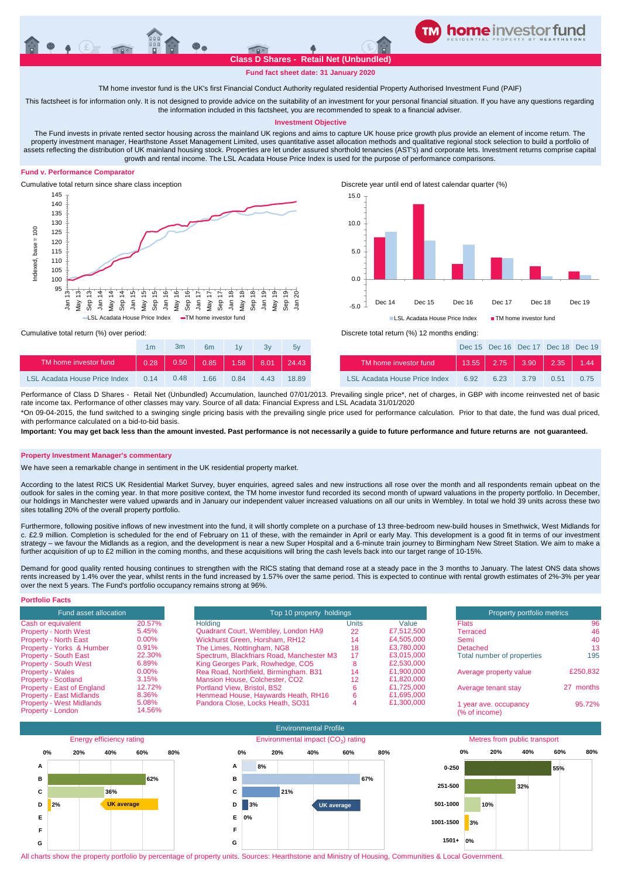

**Fund fact sheet date: 31 January 2020**

TM home investor fund is the UK's first Financial Conduct Authority regulated residential Property Authorised Investment Fund (PAIF)

This factsheet is for information only. It is not designed to provide advice on the suitability of an investment for your personal financial situation. If you have any questions regarding the information included in this factsheet, you are recommended to speak to a financial adviser.

## **Investment Objective**

The Fund invests in private rented sector housing across the mainland UK regions and aims to capture UK house price growth plus provide an element of income return. The property investment manager, Hearthstone Asset Management Limited, uses quantitative asset allocation methods and qualitative regional stock selection to build a portfolio of assets reflecting the distribution of UK mainland housing stock. Properties are let under assured shorthold tenancies (AST's) and corporate lets. Investment returns comprise capital growth and rental income. The LSL Acadata House Price Index is used for the purpose of performance comparisons.

# **Fund v. Performance Comparator**



Cumulative total return since share class inception Discrete year until end of latest calendar quarter (%)



|                                      | 1m   | 3m   | 6 <sub>m</sub> | 1 <sub>V</sub> | 3v            | 5v    |                                      |
|--------------------------------------|------|------|----------------|----------------|---------------|-------|--------------------------------------|
| TM home investor fund                | 0.28 | 0.50 | 0.85           | $-1.58$        | $\sqrt{8.01}$ | 24.43 | TM home investor fund                |
| <b>LSL Acadata House Price Index</b> | 0.14 | 0.48 | 1.66           | 0.84           | 4 4 3         | 18.89 | <b>LSL Acadata House Price Index</b> |

Cumulative total return (%) over period: Discrete total return (%) 12 months ending:

| 1 <sub>m</sub> | 3m   | 6 <sub>m</sub> | 1v   | 3v   | 5v                          |                               |      |      | Dec 15 Dec 16 Dec 17 Dec 18 Dec 19 |      |      |
|----------------|------|----------------|------|------|-----------------------------|-------------------------------|------|------|------------------------------------|------|------|
| 0.28           |      |                |      |      | $0.50$ 0.85 1.58 8.01 24.43 | TM home investor fund         |      |      | $13.55$ 2.75 3.90 2.35 1.44        |      |      |
| በ 14           | 0.48 | 1.66           | 0.84 | 4.43 | 18.89                       | LSL Acadata House Price Index | 6.92 | 6.23 | 3.79                               | 0.51 | 0.75 |

Performance of Class D Shares - Retail Net (Unbundled) Accumulation, launched 07/01/2013. Prevailing single price\*, net of charges, in GBP with income reinvested net of basic rate income tax. Performance of other classes may vary. Source of all data: Financial Express and LSL Acadata 31/01/2020

\*On 09-04-2015, the fund switched to a swinging single pricing basis with the prevailing single price used for performance calculation. Prior to that date, the fund was dual priced, with performance calculated on a bid-to-bid basis

**Important: You may get back less than the amount invested. Past performance is not necessarily a guide to future performance and future returns are not guaranteed.** 

## **Property Investment Manager's commentary**

We have seen a remarkable change in sentiment in the UK residential property market.

According to the latest RICS UK Residential Market Survey, buyer enquiries, agreed sales and new instructions all rose over the month and all respondents remain upbeat on the outlook for sales in the coming year. In that more positive context, the TM home investor fund recorded its second month of upward valuations in the property portfolio. In December, our holdings in Manchester were valued upwards and in January our independent valuer increased valuations on all our units in Wembley. In total we hold 39 units across these two our holdings in Manchester were valued upwar sites totalling 20% of the overall property portfolio.

Furthermore, following positive inflows of new investment into the fund, it will shortly complete on a purchase of 13 three-bedroom new-build houses in Smethwick, West Midlands for c. £2.9 million. Completion is scheduled for the end of February on 11 of these, with the remainder in April or early May. This development is a good fit in terms of our investment strategy – we favour the Midlands as a region, and the development is near a new Super Hospital and a 6-minute train journey to Birmingham New Street Station. We aim to make a further acquisition of up to £2 million in the coming months, and these acquisitions will bring the cash levels back into our target range of 10-15%.

Demand for good quality rented housing continues to strengthen with the RICS stating that demand rose at a steady pace in the 3 months to January. The latest ONS data shows rents increased by 1.4% over the year, whilst rents in the fund increased by 1.57% over the same period. This is expected to continue with rental growth estimates of 2%-3% per year over the next 5 years. The Fund's portfolio occupancy remains strong at 96%.

| <b>Portfolio Facts</b>                               |                 |                                           |                          |            |                                        |           |
|------------------------------------------------------|-----------------|-------------------------------------------|--------------------------|------------|----------------------------------------|-----------|
| Fund asset allocation                                |                 |                                           | Top 10 property holdings |            |                                        |           |
| Cash or equivalent                                   | 20.57%          | Holding                                   | Units                    | Value      | <b>Flats</b>                           | 96        |
| <b>Property - North West</b>                         | 5.45%           | Quadrant Court, Wembley, London HA9       | 22                       | £7,512,500 | Terraced                               | 46        |
| <b>Property - North East</b>                         | $0.00\%$        | Wickhurst Green, Horsham, RH12            | 14                       | £4.505.000 | Semi                                   | 40        |
| Property - Yorks & Humber                            | 0.91%           | The Limes, Nottingham, NG8                | 18                       | £3.780.000 | Detached                               | 13        |
| <b>Property - South East</b>                         | 22.30%          | Spectrum, Blackfriars Road, Manchester M3 | 17                       | £3.015.000 | Total number of properties             | 195       |
| <b>Property - South West</b>                         | 6.89%           | King Georges Park, Rowhedge, CO5          | ō                        | £2,530,000 |                                        |           |
| <b>Property - Wales</b>                              | $0.00\%$        | Rea Road, Northfield, Birmingham. B31     | 14                       | £1.900.000 | Average property value                 | £250,832  |
| <b>Property - Scotland</b>                           | 3.15%           | Mansion House, Colchester, CO2            | 12                       | £1,820,000 |                                        |           |
| Property - East of England                           | 12.72%          | Portland View, Bristol, BS2               |                          | £1.725.000 | Average tenant stay                    | 27 months |
| <b>Property - East Midlands</b>                      | 8.36%           | Henmead House, Haywards Heath, RH16       | n                        | £1.695.000 |                                        |           |
| <b>Property - West Midlands</b><br>Property - London | 5.08%<br>14.56% | Pandora Close, Locks Heath, SO31          |                          | £1.300.000 | 1 year ave. occupancy<br>(% of income) | 95.72%    |
|                                                      |                 |                                           |                          |            |                                        |           |



All charts show the property portfolio by percentage of property units. Sources: Hearthstone and Ministry of Housing, Communities & Local Government.